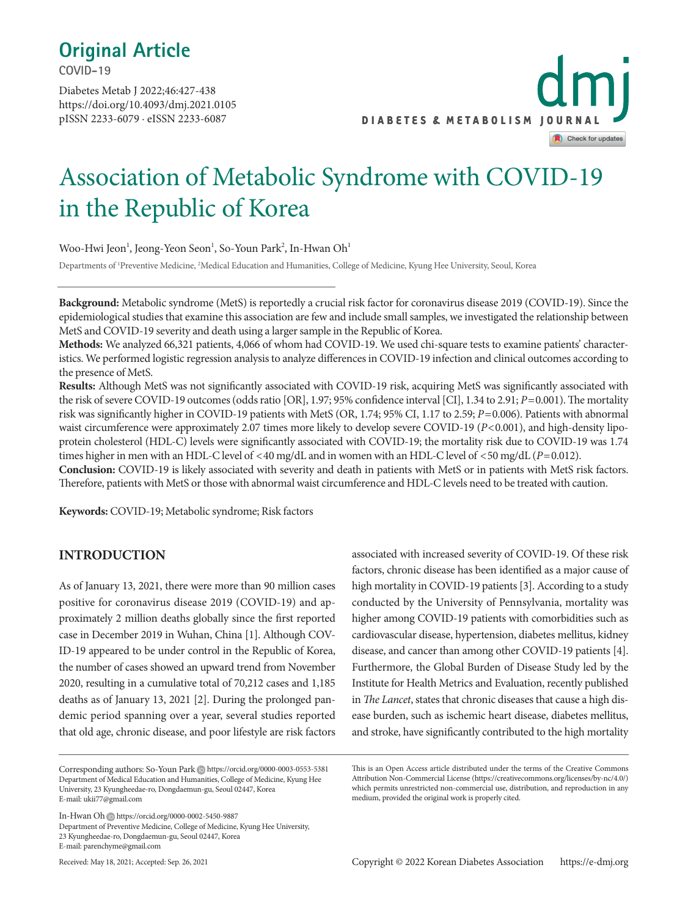## **Original Article**

**COVID-19**

https://doi.org/10.4093/dmj.2021.0105 pISSN 2233-6079 · eISSN 2233-6087 Diabetes Metab J 2022;46:427-438



## Association of Metabolic Syndrome with COVID-19 in the Republic of Korea

Woo-Hwi Jeon<sup>1</sup>, Jeong-Yeon Seon<sup>1</sup>, So-Youn Park<sup>2</sup>, In-Hwan Oh<sup>1</sup>

Departments of <sup>1</sup>Preventive Medicine, <sup>2</sup>Medical Education and Humanities, College of Medicine, Kyung Hee University, Seoul, Korea

**Background:** Metabolic syndrome (MetS) is reportedly a crucial risk factor for coronavirus disease 2019 (COVID-19). Since the epidemiological studies that examine this association are few and include small samples, we investigated the relationship between MetS and COVID-19 severity and death using a larger sample in the Republic of Korea.

**Methods:** We analyzed 66,321 patients, 4,066 of whom had COVID-19. We used chi-square tests to examine patients' characteristics. We performed logistic regression analysis to analyze differences in COVID-19 infection and clinical outcomes according to the presence of MetS.

**Results:** Although MetS was not significantly associated with COVID-19 risk, acquiring MetS was significantly associated with the risk of severe COVID-19 outcomes (odds ratio [OR], 1.97; 95% confidence interval [CI], 1.34 to 2.91; *P*=0.001). The mortality risk was significantly higher in COVID-19 patients with MetS (OR, 1.74; 95% CI, 1.17 to 2.59; *P*=0.006). Patients with abnormal waist circumference were approximately 2.07 times more likely to develop severe COVID-19 (*P*<0.001), and high-density lipoprotein cholesterol (HDL-C) levels were significantly associated with COVID-19; the mortality risk due to COVID-19 was 1.74 times higher in men with an HDL-C level of <40 mg/dL and in women with an HDL-C level of <50 mg/dL (*P*=0.012).

**Conclusion:** COVID-19 is likely associated with severity and death in patients with MetS or in patients with MetS risk factors. Therefore, patients with MetS or those with abnormal waist circumference and HDL-C levels need to be treated with caution.

**Keywords:** COVID-19; Metabolic syndrome; Risk factors

#### **INTRODUCTION**

As of January 13, 2021, there were more than 90 million cases positive for coronavirus disease 2019 (COVID-19) and approximately 2 million deaths globally since the first reported case in December 2019 in Wuhan, China [1]. Although COV-ID-19 appeared to be under control in the Republic of Korea, the number of cases showed an upward trend from November 2020, resulting in a cumulative total of 70,212 cases and 1,185 deaths as of January 13, 2021 [2]. During the prolonged pandemic period spanning over a year, several studies reported that old age, chronic disease, and poor lifestyle are risk factors

In-Hwan Oh https://orcid.org/0000-0002-5450-9887 Department of Preventive Medicine, College of Medicine, Kyung Hee University, 23 Kyungheedae-ro, Dongdaemun-gu, Seoul 02447, Korea

E-mail: parenchyme@gmail.com

Received: May 18, 2021; Accepted: Sep. 26, 2021

associated with increased severity of COVID-19. Of these risk factors, chronic disease has been identified as a major cause of high mortality in COVID-19 patients [3]. According to a study conducted by the University of Pennsylvania, mortality was higher among COVID-19 patients with comorbidities such as cardiovascular disease, hypertension, diabetes mellitus, kidney disease, and cancer than among other COVID-19 patients [4]. Furthermore, the Global Burden of Disease Study led by the Institute for Health Metrics and Evaluation, recently published in *The Lancet*, states that chronic diseases that cause a high disease burden, such as ischemic heart disease, diabetes mellitus, and stroke, have significantly contributed to the high mortality

Corresponding authors: So-Youn Park https://orcid.org/0000-0003-0553-5381 Department of Medical Education and Humanities, College of Medicine, Kyung Hee University, 23 Kyungheedae-ro, Dongdaemun-gu, Seoul 02447, Korea E-mail: ukii77@gmail.com

This is an Open Access article distributed under the terms of the Creative Commons Attribution Non-Commercial License (https://creativecommons.org/licenses/by-nc/4.0/) which permits unrestricted non-commercial use, distribution, and reproduction in any medium, provided the original work is properly cited.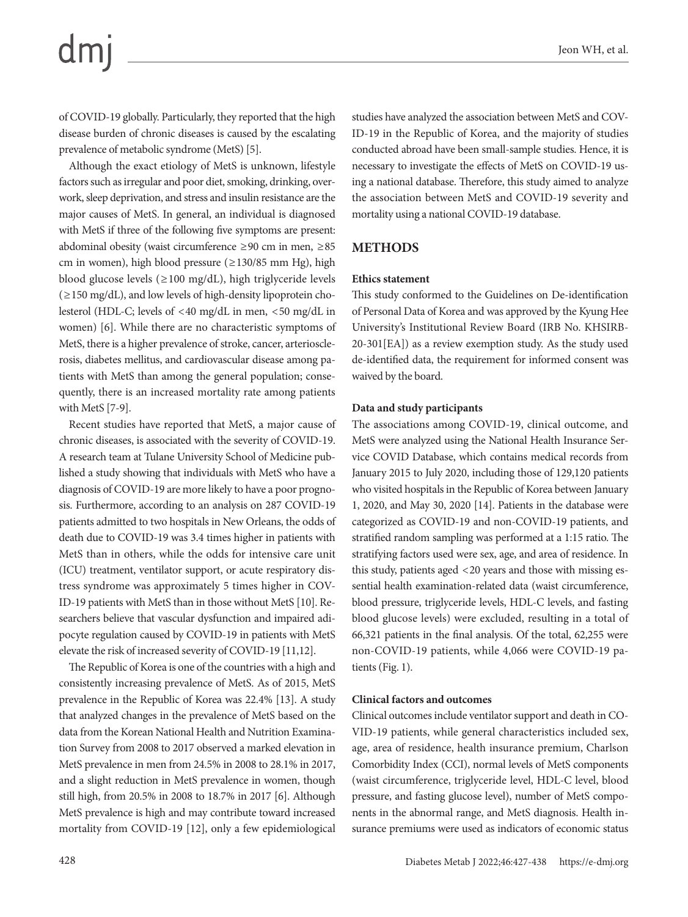of COVID-19 globally. Particularly, they reported that the high disease burden of chronic diseases is caused by the escalating prevalence of metabolic syndrome (MetS) [5].

Although the exact etiology of MetS is unknown, lifestyle factors such as irregular and poor diet, smoking, drinking, overwork, sleep deprivation, and stress and insulin resistance are the major causes of MetS. In general, an individual is diagnosed with MetS if three of the following five symptoms are present: abdominal obesity (waist circumference ≥90 cm in men, ≥85 cm in women), high blood pressure (≥130/85 mm Hg), high blood glucose levels (≥100 mg/dL), high triglyceride levels (≥150 mg/dL), and low levels of high-density lipoprotein cholesterol (HDL-C; levels of <40 mg/dL in men, <50 mg/dL in women) [6]. While there are no characteristic symptoms of MetS, there is a higher prevalence of stroke, cancer, arteriosclerosis, diabetes mellitus, and cardiovascular disease among patients with MetS than among the general population; consequently, there is an increased mortality rate among patients with MetS [7-9].

Recent studies have reported that MetS, a major cause of chronic diseases, is associated with the severity of COVID-19. A research team at Tulane University School of Medicine published a study showing that individuals with MetS who have a diagnosis of COVID-19 are more likely to have a poor prognosis. Furthermore, according to an analysis on 287 COVID-19 patients admitted to two hospitals in New Orleans, the odds of death due to COVID-19 was 3.4 times higher in patients with MetS than in others, while the odds for intensive care unit (ICU) treatment, ventilator support, or acute respiratory distress syndrome was approximately 5 times higher in COV-ID-19 patients with MetS than in those without MetS [10]. Researchers believe that vascular dysfunction and impaired adipocyte regulation caused by COVID-19 in patients with MetS elevate the risk of increased severity of COVID-19 [11,12].

The Republic of Korea is one of the countries with a high and consistently increasing prevalence of MetS. As of 2015, MetS prevalence in the Republic of Korea was 22.4% [13]. A study that analyzed changes in the prevalence of MetS based on the data from the Korean National Health and Nutrition Examination Survey from 2008 to 2017 observed a marked elevation in MetS prevalence in men from 24.5% in 2008 to 28.1% in 2017, and a slight reduction in MetS prevalence in women, though still high, from 20.5% in 2008 to 18.7% in 2017 [6]. Although MetS prevalence is high and may contribute toward increased mortality from COVID-19 [12], only a few epidemiological

studies have analyzed the association between MetS and COV-ID-19 in the Republic of Korea, and the majority of studies conducted abroad have been small-sample studies. Hence, it is necessary to investigate the effects of MetS on COVID-19 using a national database. Therefore, this study aimed to analyze the association between MetS and COVID-19 severity and mortality using a national COVID-19 database.

### **METHODS**

#### **Ethics statement**

This study conformed to the Guidelines on De-identification of Personal Data of Korea and was approved by the Kyung Hee University's Institutional Review Board (IRB No. KHSIRB-20-301[EA]) as a review exemption study. As the study used de-identified data, the requirement for informed consent was waived by the board.

#### **Data and study participants**

The associations among COVID-19, clinical outcome, and MetS were analyzed using the National Health Insurance Service COVID Database, which contains medical records from January 2015 to July 2020, including those of 129,120 patients who visited hospitals in the Republic of Korea between January 1, 2020, and May 30, 2020 [14]. Patients in the database were categorized as COVID-19 and non-COVID-19 patients, and stratified random sampling was performed at a 1:15 ratio. The stratifying factors used were sex, age, and area of residence. In this study, patients aged <20 years and those with missing essential health examination-related data (waist circumference, blood pressure, triglyceride levels, HDL-C levels, and fasting blood glucose levels) were excluded, resulting in a total of 66,321 patients in the final analysis. Of the total, 62,255 were non-COVID-19 patients, while 4,066 were COVID-19 patients (Fig. 1).

#### **Clinical factors and outcomes**

Clinical outcomes include ventilator support and death in CO-VID-19 patients, while general characteristics included sex, age, area of residence, health insurance premium, Charlson Comorbidity Index (CCI), normal levels of MetS components (waist circumference, triglyceride level, HDL-C level, blood pressure, and fasting glucose level), number of MetS components in the abnormal range, and MetS diagnosis. Health insurance premiums were used as indicators of economic status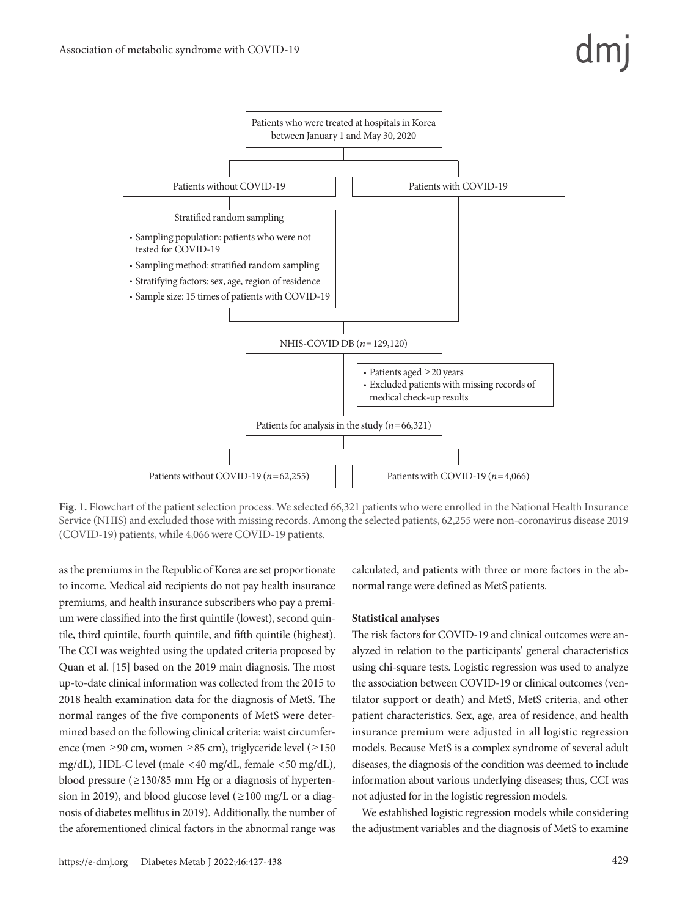

**Fig. 1.** Flowchart of the patient selection process. We selected 66,321 patients who were enrolled in the National Health Insurance Service (NHIS) and excluded those with missing records. Among the selected patients, 62,255 were non-coronavirus disease 2019 (COVID-19) patients, while 4,066 were COVID-19 patients.

as the premiums in the Republic of Korea are set proportionate to income. Medical aid recipients do not pay health insurance premiums, and health insurance subscribers who pay a premium were classified into the first quintile (lowest), second quintile, third quintile, fourth quintile, and fifth quintile (highest). The CCI was weighted using the updated criteria proposed by Quan et al. [15] based on the 2019 main diagnosis. The most up-to-date clinical information was collected from the 2015 to 2018 health examination data for the diagnosis of MetS. The normal ranges of the five components of MetS were determined based on the following clinical criteria: waist circumference (men ≥90 cm, women ≥85 cm), triglyceride level (≥150 mg/dL), HDL-C level (male <40 mg/dL, female <50 mg/dL), blood pressure (≥130/85 mm Hg or a diagnosis of hypertension in 2019), and blood glucose level  $(\geq 100 \text{ mg/L or a diagram})$ nosis of diabetes mellitus in 2019). Additionally, the number of the aforementioned clinical factors in the abnormal range was

https://e-dmj.org Diabetes Metab J 2022;46:427-438 429

calculated, and patients with three or more factors in the abnormal range were defined as MetS patients.

#### **Statistical analyses**

The risk factors for COVID-19 and clinical outcomes were analyzed in relation to the participants' general characteristics using chi-square tests. Logistic regression was used to analyze the association between COVID-19 or clinical outcomes (ventilator support or death) and MetS, MetS criteria, and other patient characteristics. Sex, age, area of residence, and health insurance premium were adjusted in all logistic regression models. Because MetS is a complex syndrome of several adult diseases, the diagnosis of the condition was deemed to include information about various underlying diseases; thus, CCI was not adjusted for in the logistic regression models.

We established logistic regression models while considering the adjustment variables and the diagnosis of MetS to examine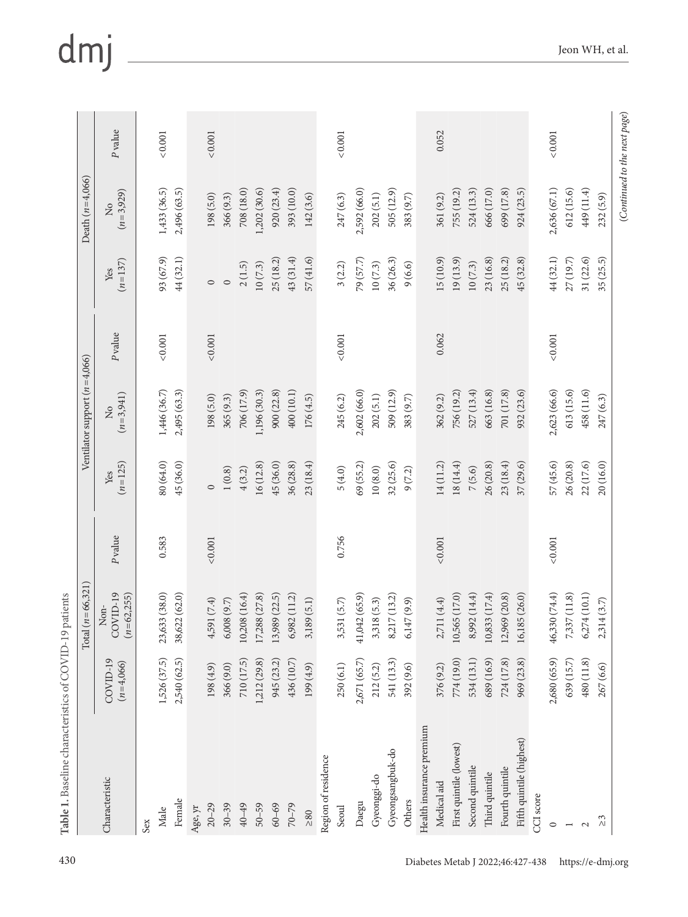|                          |                         | $(n=66,321)$<br>Total             |               |                  | Ventilator support $(n=4,066)$ |               |                      | Death $(n=4,066)$          |               |
|--------------------------|-------------------------|-----------------------------------|---------------|------------------|--------------------------------|---------------|----------------------|----------------------------|---------------|
| Characteristic           | COVID-19<br>$(n=4,066)$ | COVID-19<br>$(n=62, 255)$<br>Non- | Pvalue        | $(n=125)$<br>Yes | $(n=3,941)$<br>$\tilde{z}$     | P value       | $(n=137)$<br>Yes     | $(n=3,929)$<br>$\tilde{z}$ | P value       |
| Sex                      |                         |                                   |               |                  |                                |               |                      |                            |               |
| $\rm {Male}$             | 1,526 (37.5)            | 23,633(38.0)                      | 0.583         | 80 (64.0)        | 1,446 (36.7)                   | 0.001         | 93 (67.9)            | 1,433 (36.5)               | 0.001         |
| Female                   | 2,540 (62.5)            | 38,622 (62.0)                     |               | 45 (36.0)        | 2,495 (63.3)                   |               | 44 (32.1)            | 2,496 (63.5)               |               |
| Age, $\gamma \mathrm{r}$ |                         |                                   |               |                  |                                |               |                      |                            |               |
| $20 - 29$                | 198(4.9)                | 4,591 (7.4)                       | ${}_{<0.001}$ | $\circ$          | 198(5.0)                       | < 0.001       | $\circ$              | 198(5.0)                   | ${}_{<0.001}$ |
| $30 - 39$                | 366(9.0)                | 6,008(9.7)                        |               | 1(0.8)           | 365(9.3)                       |               | $\circ$              | 366 (9.3)                  |               |
| $40 - 49$                | 710 (17.5)              | 10,208 (16.4)                     |               | 4(3.2)           | 706 (17.9)                     |               | 2(1.5)               | 708 (18.0)                 |               |
| $50 - 59$                | 1,212 (29.8)            | 17,288 (27.8)                     |               | 16(12.8)         | 1,196 (30.3)                   |               | 10(7.3)              | 1,202 (30.6)               |               |
| $60 - 69$                | 945 (23.2)              | 13,989 (22.5)                     |               | 45 (36.0)        | 900 (22.8)                     |               | 25 (18.2)            | 920(23.4)                  |               |
| $70 - 79$                | 436 (10.7)              | 6,982 (11.2)                      |               | 36 (28.8)        | 400 (10.1)                     |               | 43 (31.4)            | 393 (10.0)                 |               |
| $\geq\!80$               | 199(4.9)                | 3,189(5.1)                        |               | 23(18.4)         | 176(4.5)                       |               | 57(41.6)             | 142(3.6)                   |               |
| Region of residence      |                         |                                   |               |                  |                                |               |                      |                            |               |
| Seoul                    | 250(6.1)                | 3,531 (5.7)                       | 0.756         | 5(4.0)           | 245(6.2)                       | ${}_{<0.001}$ | 3(2.2)               | 247(6.3)                   | ${}_{<0.001}$ |
| Daegu                    | 2,671 (65.7)            | 41,042 (65.9)                     |               | 69 (55.2)        | 2,602 (66.0)                   |               | 79 (57.7)            | 2,592 (66.0)               |               |
| Gyeonggi-do              | 212(5.2)                | 3,318(5.3)                        |               | 10(8.0)          | 202(5.1)                       |               | $10\left(7.3\right)$ | 202(5.1)                   |               |
| Gyeongsangbuk-do         | 541 (13.3)              | 8,217 (13.2)                      |               | 32 (25.6)        | 509 (12.9)                     |               | 36 (26.3)            | 505 (12.9)                 |               |
| Others                   | 392 (9.6)               | 6,147(9.9)                        |               | 9(7.2)           | 383 (9.7)                      |               | 9(6.6)               | 383 (9.7)                  |               |
| Health insurance premium |                         |                                   |               |                  |                                |               |                      |                            |               |
| Medical aid              | 376(9.2)                | 2,711(4.4)                        | ${}_{<0.001}$ | 14 (11.2)        | 362 (9.2)                      | 0.062         | 15 (10.9)            | 361 (9.2)                  | 0.052         |
| First quintile (lowest)  | 774 (19.0)              | 10,565 (17.0)                     |               | 18 (14.4)        | 756 (19.2)                     |               | 19(13.9)             | 755 (19.2)                 |               |
| Second quintile          | 534 (13.1)              | 8,992 (14.4)                      |               | 7(5.6)           | 527 (13.4)                     |               | 10(7.3)              | 524 (13.3)                 |               |
| Third quintile           | 689 (16.9)              | 10,833 (17.4)                     |               | 26 (20.8)        | 663 (16.8)                     |               | 23 (16.8)            | 666 (17.0)                 |               |
| Fourth quintile          | 724 (17.8)              | 12,969 (20.8)                     |               | 23 (18.4)        | 701 (17.8)                     |               | 25 (18.2)            | 699 (17.8)                 |               |
| Fifth quintile (highest) | 969 (23.8)              | 16,185 (26.0)                     |               | 37(29.6)         | 932 (23.6)                     |               | 45 (32.8)            | 924 (23.5)                 |               |
| CCI score                |                         |                                   |               |                  |                                |               |                      |                            |               |
| $\circ$                  | 2,680 (65.9)            | 46,330 (74.4)                     | ${}_{<0.001}$ | 57 (45.6)        | 2,623 (66.6)                   | ${}_{<0.001}$ | 44 (32.1)            | 2,636 (67.1)               | ${}_{<0.001}$ |
| $\overline{\phantom{a}}$ | 639 (15.7)              | 7,337 (11.8)                      |               | 26 (20.8)        | 613(15.6)                      |               | 27 (19.7)            | 612(15.6)                  |               |
| $\mathbf{\sim}$          | 480 (11.8)              | 6,274(10.1)                       |               | 22 (17.6)        | 458 (11.6)                     |               | 31 (22.6)            | 449 (11.4)                 |               |
| 3<br>$\wedge$            | 267 (6.6)               | 2,314(3.7)                        |               | 20 (16.0)        | 247 (6.3)                      |               | 35 (25.5)            | 232 (5.9)                  |               |

## dmj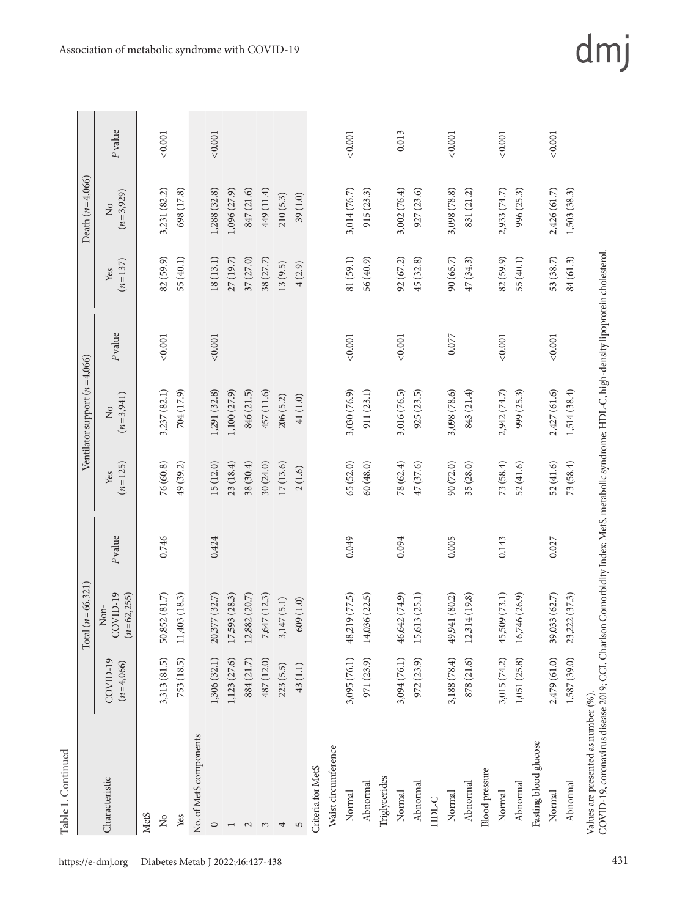|                                |                         | $(n=66,321)$<br>Total               |        |                  | Ventilator support $(n=4,066)$ |               |                  | Death $(n=4,066)$          |               |
|--------------------------------|-------------------------|-------------------------------------|--------|------------------|--------------------------------|---------------|------------------|----------------------------|---------------|
| Characteristic                 | COVID-19<br>$(n=4,066)$ | COVID-19<br>$(n=62, 255)$<br>$Non-$ | Pvalue | $(n=125)$<br>Yes | $(n=3,941)$<br>$\frac{1}{2}$   | P value       | $(n=137)$<br>Yes | $(n=3,929)$<br>$\tilde{z}$ | P value       |
| <b>MetS</b>                    |                         |                                     |        |                  |                                |               |                  |                            |               |
| $\stackrel{\circ}{\mathbf{Z}}$ | 3,313 (81.5)            | 50,852 (81.7)                       | 0.746  | 76(60.8)         | 3,237 (82.1)                   | ${}_{<0.001}$ | 82(59.9)         | 3,231 (82.2)               | 0.001         |
| Yes                            | 753 (18.5)              | 11,403 (18.3)                       |        | 49 (39.2)        | 704 (17.9)                     |               | 55 (40.1)        | 698 (17.8)                 |               |
| No. of MetS components         |                         |                                     |        |                  |                                |               |                  |                            |               |
| $\circ$                        | 1,306(32.1)             | 20,377 (32.7)                       | 0.424  | 15 (12.0)        | 1,291(32.8)                    | ${}_{<0.001}$ | 18(13.1)         | 1,288 (32.8)               | ${}_{<0.001}$ |
|                                | 1,123 (27.6)            | 17,593 (28.3)                       |        | 23(18.4)         | 1,100 (27.9)                   |               | 27(19.7)         | 1,096 (27.9)               |               |
| $\mathcal{L}$                  | 884 (21.7)              | 12,882 (20.7)                       |        | 38(30.4)         | 846 (21.5)                     |               | 37(27.0)         | 847 (21.6)                 |               |
| $\mathfrak{S}$                 | 487 (12.0)              | 7,647 (12.3)                        |        | 30(24.0)         | 457 (11.6)                     |               | 38 (27.7)        | 449 (11.4)                 |               |
| 4                              | 223(5.5)                | 3,147(5.1)                          |        | 17(13.6)         | 206(5.2)                       |               | 13(9.5)          | 210(5.3)                   |               |
| 5                              | 43(1.1)                 | 609(1.0)                            |        | 2(1.6)           | 41(1.0)                        |               | 4(2.9)           | 39(1.0)                    |               |
| Criteria for MetS              |                         |                                     |        |                  |                                |               |                  |                            |               |
| Waist circumference            |                         |                                     |        |                  |                                |               |                  |                            |               |
| Normal                         | 3,095 (76.1)            | 48,219 (77.5)                       | 0.049  | 65 (52.0)        | 3,030 (76.9)                   | ${}_{<0.001}$ | 81 (59.1)        | 3,014 (76.7)               | ${}_{<0.001}$ |
| Abnormal                       | 971 (23.9)              | 14,036 (22.5)                       |        | 60(48.0)         | 911 (23.1)                     |               | 56 (40.9)        | 915 (23.3)                 |               |
| Triglycerides                  |                         |                                     |        |                  |                                |               |                  |                            |               |
| Normal                         | 3,094 (76.1)            | 46,642 (74.9)                       | 0.094  | 78 (62.4)        | 3,016 (76.5)                   | ${}_{<0.001}$ | 92(67.2)         | 3,002 (76.4)               | 0.013         |
| Abnormal                       | 972 (23.9)              | 15,613 (25.1)                       |        | 47 (37.6)        | 925(23.5)                      |               | 45 (32.8)        | 927(23.6)                  |               |
| $HDL-C$                        |                         |                                     |        |                  |                                |               |                  |                            |               |
| Normal                         | 3,188 (78.4)            | 49,941 (80.2)                       | 0.005  | 90 (72.0)        | 3,098 (78.6)                   | 0.077         | 90 (65.7)        | 3,098 (78.8)               | < 0.001       |
| Abnormal                       | 878 (21.6)              | 12,314 (19.8)                       |        | 35 (28.0)        | 843 (21.4)                     |               | 47 (34.3)        | 831 (21.2)                 |               |
| <b>Blood</b> pressure          |                         |                                     |        |                  |                                |               |                  |                            |               |
| Normal                         | 3,015 (74.2)            | 45,509 (73.1)                       | 0.143  | 73 (58.4)        | 2,942 (74.7)                   | ${}_{<0.001}$ | 82 (59.9)        | 2,933 (74.7)               | ${}_{<0.001}$ |
| Abnormal                       | 1,051 (25.8)            | 16,746 (26.9)                       |        | 52(41.6)         | 999 (25.3)                     |               | 55 (40.1)        | 996 (25.3)                 |               |
| Fasting blood glucose          |                         |                                     |        |                  |                                |               |                  |                            |               |
| Normal                         | 2,479 (61.0)            | 39,033 (62.7)                       | 0.027  | 52(41.6)         | 2,427 (61.6)                   | ${}_{<0.001}$ | 53 (38.7)        | 2,426 (61.7)               | ${}_{<0.001}$ |
| Abnormal                       | 1,587 (39.0)            | 23,222 (37.3)                       |        | 73 (58.4)        | 1,514 (38.4)                   |               | 84 (61.3)        | 1,503 (38.3)               |               |

dmj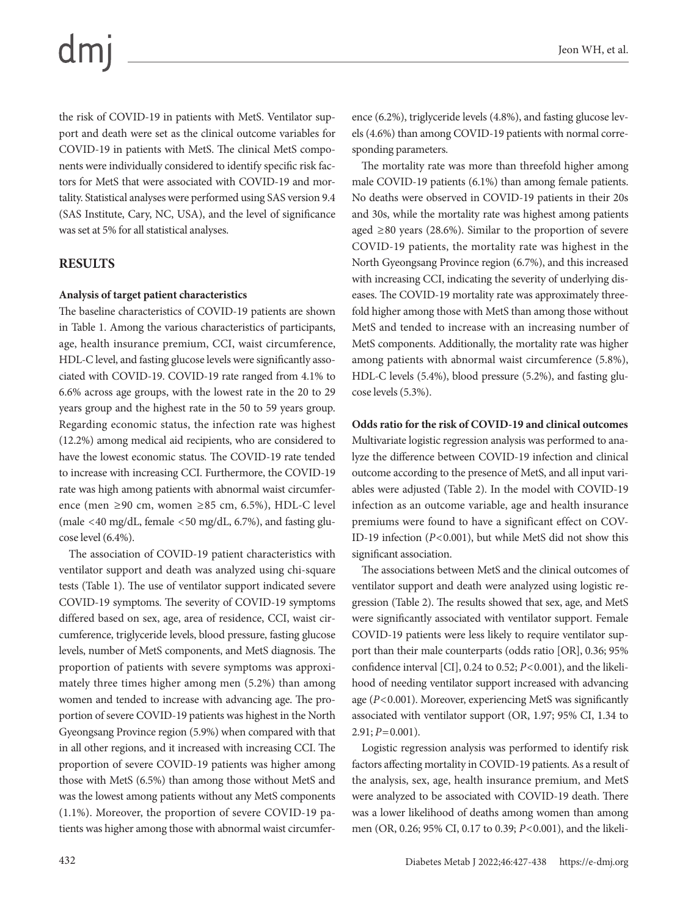the risk of COVID-19 in patients with MetS. Ventilator support and death were set as the clinical outcome variables for COVID-19 in patients with MetS. The clinical MetS components were individually considered to identify specific risk factors for MetS that were associated with COVID-19 and mortality. Statistical analyses were performed using SAS version 9.4 (SAS Institute, Cary, NC, USA), and the level of significance was set at 5% for all statistical analyses.

#### **RESULTS**

#### **Analysis of target patient characteristics**

The baseline characteristics of COVID-19 patients are shown in Table 1. Among the various characteristics of participants, age, health insurance premium, CCI, waist circumference, HDL-C level, and fasting glucose levels were significantly associated with COVID-19. COVID-19 rate ranged from 4.1% to 6.6% across age groups, with the lowest rate in the 20 to 29 years group and the highest rate in the 50 to 59 years group. Regarding economic status, the infection rate was highest (12.2%) among medical aid recipients, who are considered to have the lowest economic status. The COVID-19 rate tended to increase with increasing CCI. Furthermore, the COVID-19 rate was high among patients with abnormal waist circumference (men ≥90 cm, women ≥85 cm, 6.5%), HDL-C level (male <40 mg/dL, female <50 mg/dL, 6.7%), and fasting glucose level (6.4%).

The association of COVID-19 patient characteristics with ventilator support and death was analyzed using chi-square tests (Table 1). The use of ventilator support indicated severe COVID-19 symptoms. The severity of COVID-19 symptoms differed based on sex, age, area of residence, CCI, waist circumference, triglyceride levels, blood pressure, fasting glucose levels, number of MetS components, and MetS diagnosis. The proportion of patients with severe symptoms was approximately three times higher among men (5.2%) than among women and tended to increase with advancing age. The proportion of severe COVID-19 patients was highest in the North Gyeongsang Province region (5.9%) when compared with that in all other regions, and it increased with increasing CCI. The proportion of severe COVID-19 patients was higher among those with MetS (6.5%) than among those without MetS and was the lowest among patients without any MetS components (1.1%). Moreover, the proportion of severe COVID-19 patients was higher among those with abnormal waist circumference (6.2%), triglyceride levels (4.8%), and fasting glucose levels (4.6%) than among COVID-19 patients with normal corresponding parameters.

The mortality rate was more than threefold higher among male COVID-19 patients (6.1%) than among female patients. No deaths were observed in COVID-19 patients in their 20s and 30s, while the mortality rate was highest among patients aged  $\geq 80$  years (28.6%). Similar to the proportion of severe COVID-19 patients, the mortality rate was highest in the North Gyeongsang Province region (6.7%), and this increased with increasing CCI, indicating the severity of underlying diseases. The COVID-19 mortality rate was approximately threefold higher among those with MetS than among those without MetS and tended to increase with an increasing number of MetS components. Additionally, the mortality rate was higher among patients with abnormal waist circumference (5.8%), HDL-C levels (5.4%), blood pressure (5.2%), and fasting glucose levels (5.3%).

**Odds ratio for the risk of COVID-19 and clinical outcomes** Multivariate logistic regression analysis was performed to analyze the difference between COVID-19 infection and clinical outcome according to the presence of MetS, and all input variables were adjusted (Table 2). In the model with COVID-19 infection as an outcome variable, age and health insurance premiums were found to have a significant effect on COV-ID-19 infection (*P*<0.001), but while MetS did not show this significant association.

The associations between MetS and the clinical outcomes of ventilator support and death were analyzed using logistic regression (Table 2). The results showed that sex, age, and MetS were significantly associated with ventilator support. Female COVID-19 patients were less likely to require ventilator support than their male counterparts (odds ratio [OR], 0.36; 95% confidence interval [CI], 0.24 to 0.52; *P*<0.001), and the likelihood of needing ventilator support increased with advancing age (*P*<0.001). Moreover, experiencing MetS was significantly associated with ventilator support (OR, 1.97; 95% CI, 1.34 to  $2.91; P=0.001$ ).

Logistic regression analysis was performed to identify risk factors affecting mortality in COVID-19 patients. As a result of the analysis, sex, age, health insurance premium, and MetS were analyzed to be associated with COVID-19 death. There was a lower likelihood of deaths among women than among men (OR, 0.26; 95% CI, 0.17 to 0.39; *P*<0.001), and the likeli-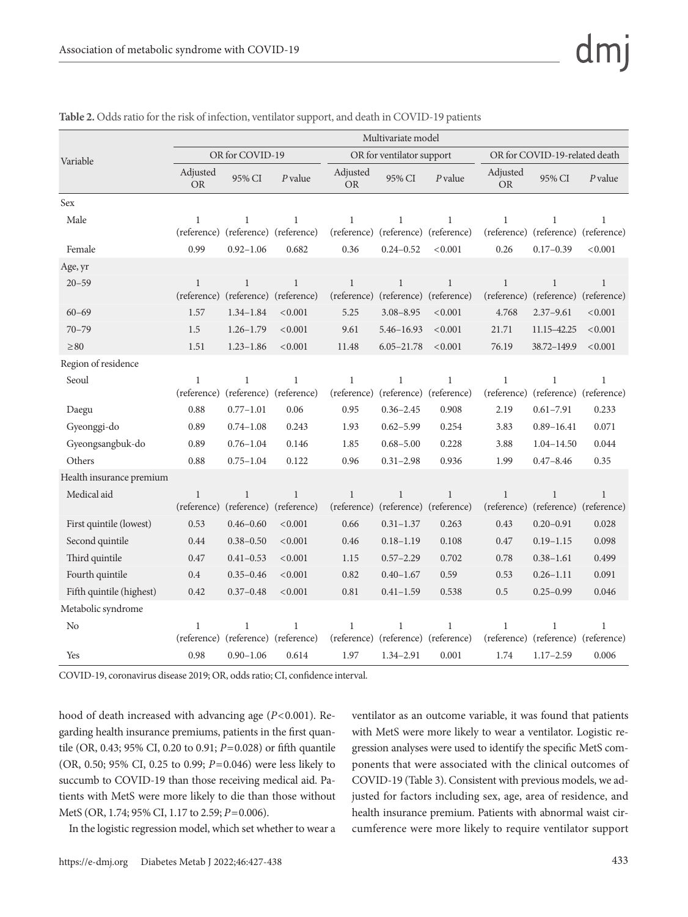|                          | Multivariate model          |                                                     |                             |                             |                                                     |              |                             |                                         |                              |
|--------------------------|-----------------------------|-----------------------------------------------------|-----------------------------|-----------------------------|-----------------------------------------------------|--------------|-----------------------------|-----------------------------------------|------------------------------|
| Variable                 |                             | OR for COVID-19                                     |                             |                             | OR for ventilator support                           |              |                             | OR for COVID-19-related death           |                              |
|                          | Adjusted<br><b>OR</b>       | 95% CI                                              | P value                     | Adjusted<br><b>OR</b>       | 95% CI                                              | $P$ value    | Adjusted<br><b>OR</b>       | 95% CI                                  | P value                      |
| <b>Sex</b>               |                             |                                                     |                             |                             |                                                     |              |                             |                                         |                              |
| Male                     | $\mathbf{1}$<br>(reference) | $\mathbf{1}$<br>(reference) (reference)             | $\mathbf{1}$                | $\mathbf{1}$                | $\mathbf{1}$<br>(reference) (reference) (reference) | $\mathbf{1}$ | $\mathbf{1}$<br>(reference) | $\mathbf{1}$<br>(reference)             | 1<br>(reference)             |
| Female                   | 0.99                        | $0.92 - 1.06$                                       | 0.682                       | 0.36                        | $0.24 - 0.52$                                       | < 0.001      | 0.26                        | $0.17 - 0.39$                           | < 0.001                      |
| Age, yr                  |                             |                                                     |                             |                             |                                                     |              |                             |                                         |                              |
| $20 - 59$                | $\mathbf{1}$<br>(reference) | $\mathbf{1}$<br>(reference) (reference)             | $\mathbf{1}$                | $\mathbf{1}$<br>(reference) | $\mathbf{1}$<br>(reference) (reference)             | $\mathbf{1}$ | $\mathbf{1}$<br>(reference) | $\mathbf{1}$<br>(reference)             | $\mathbf{1}$<br>(reference)  |
| $60 - 69$                | 1.57                        | $1.34 - 1.84$                                       | < 0.001                     | 5.25                        | $3.08 - 8.95$                                       | < 0.001      | 4.768                       | $2.37 - 9.61$                           | < 0.001                      |
| $70 - 79$                | 1.5                         | $1.26 - 1.79$                                       | < 0.001                     | 9.61                        | 5.46-16.93                                          | < 0.001      | 21.71                       | 11.15-42.25                             | < 0.001                      |
| $\geq 80$                | 1.51                        | $1.23 - 1.86$                                       | < 0.001                     | 11.48                       | $6.05 - 21.78$                                      | < 0.001      | 76.19                       | 38.72-149.9                             | < 0.001                      |
| Region of residence      |                             |                                                     |                             |                             |                                                     |              |                             |                                         |                              |
| Seoul                    | $\mathbf{1}$<br>(reference) | $\mathbf{1}$<br>(reference) (reference)             | $\mathbf{1}$                | $\mathbf{1}$                | $\mathbf{1}$<br>(reference) (reference) (reference) | $\mathbf{1}$ | $\mathbf{1}$<br>(reference) | $\mathbf{1}$<br>(reference) (reference) | $\mathbf{1}$                 |
| Daegu                    | 0.88                        | $0.77 - 1.01$                                       | 0.06                        | 0.95                        | $0.36 - 2.45$                                       | 0.908        | 2.19                        | $0.61 - 7.91$                           | 0.233                        |
| Gyeonggi-do              | 0.89                        | $0.74 - 1.08$                                       | 0.243                       | 1.93                        | $0.62 - 5.99$                                       | 0.254        | 3.83                        | $0.89 - 16.41$                          | 0.071                        |
| Gyeongsangbuk-do         | 0.89                        | $0.76 - 1.04$                                       | 0.146                       | 1.85                        | $0.68 - 5.00$                                       | 0.228        | 3.88                        | $1.04 - 14.50$                          | 0.044                        |
| Others                   | 0.88                        | $0.75 - 1.04$                                       | 0.122                       | 0.96                        | $0.31 - 2.98$                                       | 0.936        | 1.99                        | $0.47 - 8.46$                           | 0.35                         |
| Health insurance premium |                             |                                                     |                             |                             |                                                     |              |                             |                                         |                              |
| Medical aid              | $\mathbf{1}$                | $\mathbf{1}$<br>(reference) (reference)             | $\mathbf{1}$<br>(reference) | $\mathbf{1}$                | $\mathbf{1}$<br>(reference) (reference) (reference) | $\mathbf{1}$ | $\mathbf{1}$<br>(reference) | $\mathbf{1}$<br>(reference) (reference) | $\mathbf{1}$                 |
| First quintile (lowest)  | 0.53                        | $0.46 - 0.60$                                       | < 0.001                     | 0.66                        | $0.31 - 1.37$                                       | 0.263        | 0.43                        | $0.20 - 0.91$                           | 0.028                        |
| Second quintile          | 0.44                        | $0.38 - 0.50$                                       | < 0.001                     | 0.46                        | $0.18 - 1.19$                                       | 0.108        | 0.47                        | $0.19 - 1.15$                           | 0.098                        |
| Third quintile           | 0.47                        | $0.41 - 0.53$                                       | < 0.001                     | 1.15                        | $0.57 - 2.29$                                       | 0.702        | 0.78                        | $0.38 - 1.61$                           | 0.499                        |
| Fourth quintile          | 0.4                         | $0.35 - 0.46$                                       | < 0.001                     | 0.82                        | $0.40 - 1.67$                                       | 0.59         | 0.53                        | $0.26 - 1.11$                           | 0.091                        |
| Fifth quintile (highest) | 0.42                        | $0.37 - 0.48$                                       | < 0.001                     | 0.81                        | $0.41 - 1.59$                                       | 0.538        | 0.5                         | $0.25 - 0.99$                           | 0.046                        |
| Metabolic syndrome       |                             |                                                     |                             |                             |                                                     |              |                             |                                         |                              |
| No                       | $\mathbf{1}$                | $\mathbf{1}$<br>(reference) (reference) (reference) | $\mathbf{1}$                | $\mathbf{1}$                | $\mathbf{1}$<br>(reference) (reference) (reference) | $\mathbf{1}$ | $\mathbf{1}$<br>(reference) | 1                                       | 1<br>(reference) (reference) |
| Yes                      | 0.98                        | $0.90 - 1.06$                                       | 0.614                       | 1.97                        | $1.34 - 2.91$                                       | 0.001        | 1.74                        | $1.17 - 2.59$                           | 0.006                        |

| Table 2. Odds ratio for the risk of infection, ventilator support, and death in COVID-19 patients |  |
|---------------------------------------------------------------------------------------------------|--|
|---------------------------------------------------------------------------------------------------|--|

COVID-19, coronavirus disease 2019; OR, odds ratio; CI, confidence interval.

hood of death increased with advancing age (*P*<0.001). Regarding health insurance premiums, patients in the first quantile (OR, 0.43; 95% CI, 0.20 to 0.91; *P*=0.028) or fifth quantile (OR, 0.50; 95% CI, 0.25 to 0.99; *P*=0.046) were less likely to succumb to COVID-19 than those receiving medical aid. Patients with MetS were more likely to die than those without MetS (OR, 1.74; 95% CI, 1.17 to 2.59; *P*=0.006).

In the logistic regression model, which set whether to wear a

ventilator as an outcome variable, it was found that patients with MetS were more likely to wear a ventilator. Logistic regression analyses were used to identify the specific MetS components that were associated with the clinical outcomes of COVID-19 (Table 3). Consistent with previous models, we adjusted for factors including sex, age, area of residence, and health insurance premium. Patients with abnormal waist circumference were more likely to require ventilator support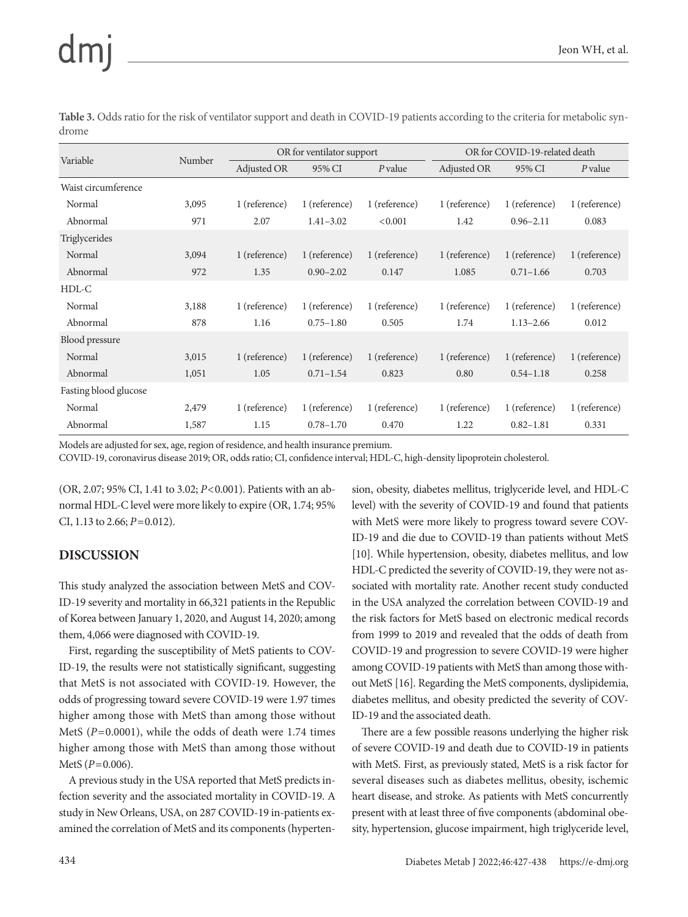| Variable              | Number |               | OR for ventilator support |               | OR for COVID-19-related death |               |               |  |
|-----------------------|--------|---------------|---------------------------|---------------|-------------------------------|---------------|---------------|--|
|                       |        | Adjusted OR   | 95% CI                    | P value       | Adjusted OR                   | 95% CI        | P value       |  |
| Waist circumference   |        |               |                           |               |                               |               |               |  |
| Normal                | 3,095  | 1 (reference) | 1 (reference)             | 1 (reference) | 1 (reference)                 | 1 (reference) | 1 (reference) |  |
| Abnormal              | 971    | 2.07          | $1.41 - 3.02$             | < 0.001       | 1.42                          | $0.96 - 2.11$ | 0.083         |  |
| Triglycerides         |        |               |                           |               |                               |               |               |  |
| Normal                | 3,094  | 1 (reference) | 1 (reference)             | 1 (reference) | 1 (reference)                 | 1 (reference) | 1 (reference) |  |
| Abnormal              | 972    | 1.35          | $0.90 - 2.02$             | 0.147         | 1.085                         | $0.71 - 1.66$ | 0.703         |  |
| $HDL-C$               |        |               |                           |               |                               |               |               |  |
| Normal                | 3,188  | 1 (reference) | 1 (reference)             | 1 (reference) | 1 (reference)                 | 1 (reference) | 1 (reference) |  |
| Abnormal              | 878    | 1.16          | $0.75 - 1.80$             | 0.505         | 1.74                          | $1.13 - 2.66$ | 0.012         |  |
| Blood pressure        |        |               |                           |               |                               |               |               |  |
| Normal                | 3,015  | 1 (reference) | 1 (reference)             | 1 (reference) | 1 (reference)                 | 1 (reference) | 1 (reference) |  |
| Abnormal              | 1,051  | 1.05          | $0.71 - 1.54$             | 0.823         | 0.80                          | $0.54 - 1.18$ | 0.258         |  |
| Fasting blood glucose |        |               |                           |               |                               |               |               |  |
| Normal                | 2,479  | 1 (reference) | 1 (reference)             | 1 (reference) | 1 (reference)                 | 1 (reference) | 1 (reference) |  |
| Abnormal              | 1,587  | 1.15          | $0.78 - 1.70$             | 0.470         | 1.22                          | $0.82 - 1.81$ | 0.331         |  |

**Table 3.** Odds ratio for the risk of ventilator support and death in COVID-19 patients according to the criteria for metabolic syndrome

Models are adjusted for sex, age, region of residence, and health insurance premium.

COVID-19, coronavirus disease 2019; OR, odds ratio; CI, confidence interval; HDL-C, high-density lipoprotein cholesterol.

(OR, 2.07; 95% CI, 1.41 to 3.02; *P*<0.001). Patients with an abnormal HDL-C level were more likely to expire (OR, 1.74; 95% CI, 1.13 to 2.66; *P*=0.012).

#### **DISCUSSION**

This study analyzed the association between MetS and COV-ID-19 severity and mortality in 66,321 patients in the Republic of Korea between January 1, 2020, and August 14, 2020; among them, 4,066 were diagnosed with COVID-19.

First, regarding the susceptibility of MetS patients to COV-ID-19, the results were not statistically significant, suggesting that MetS is not associated with COVID-19. However, the odds of progressing toward severe COVID-19 were 1.97 times higher among those with MetS than among those without MetS (*P*=0.0001), while the odds of death were 1.74 times higher among those with MetS than among those without MetS (*P*=0.006).

A previous study in the USA reported that MetS predicts infection severity and the associated mortality in COVID-19. A study in New Orleans, USA, on 287 COVID-19 in-patients examined the correlation of MetS and its components (hypertension, obesity, diabetes mellitus, triglyceride level, and HDL-C level) with the severity of COVID-19 and found that patients with MetS were more likely to progress toward severe COV-ID-19 and die due to COVID-19 than patients without MetS [10]. While hypertension, obesity, diabetes mellitus, and low HDL-C predicted the severity of COVID-19, they were not associated with mortality rate. Another recent study conducted in the USA analyzed the correlation between COVID-19 and the risk factors for MetS based on electronic medical records from 1999 to 2019 and revealed that the odds of death from COVID-19 and progression to severe COVID-19 were higher among COVID-19 patients with MetS than among those without MetS [16]. Regarding the MetS components, dyslipidemia, diabetes mellitus, and obesity predicted the severity of COV-ID-19 and the associated death.

There are a few possible reasons underlying the higher risk of severe COVID-19 and death due to COVID-19 in patients with MetS. First, as previously stated, MetS is a risk factor for several diseases such as diabetes mellitus, obesity, ischemic heart disease, and stroke. As patients with MetS concurrently present with at least three of five components (abdominal obesity, hypertension, glucose impairment, high triglyceride level,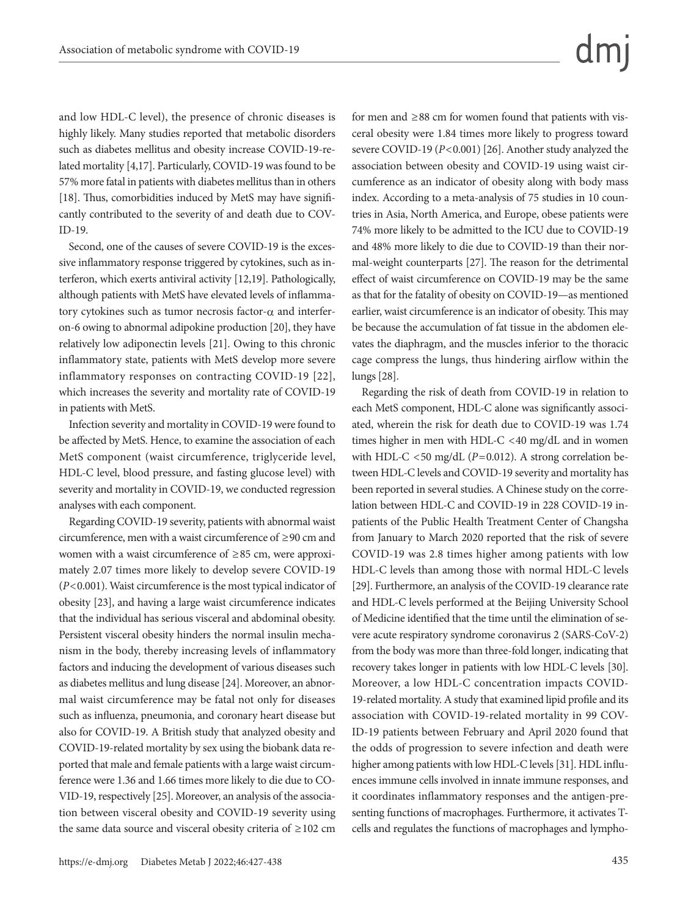and low HDL-C level), the presence of chronic diseases is highly likely. Many studies reported that metabolic disorders such as diabetes mellitus and obesity increase COVID-19-related mortality [4,17]. Particularly, COVID-19 was found to be 57% more fatal in patients with diabetes mellitus than in others [18]. Thus, comorbidities induced by MetS may have significantly contributed to the severity of and death due to COV-ID-19.

Second, one of the causes of severe COVID-19 is the excessive inflammatory response triggered by cytokines, such as interferon, which exerts antiviral activity [12,19]. Pathologically, although patients with MetS have elevated levels of inflammatory cytokines such as tumor necrosis factor-α and interferon-6 owing to abnormal adipokine production [20], they have relatively low adiponectin levels [21]. Owing to this chronic inflammatory state, patients with MetS develop more severe inflammatory responses on contracting COVID-19 [22], which increases the severity and mortality rate of COVID-19 in patients with MetS.

Infection severity and mortality in COVID-19 were found to be affected by MetS. Hence, to examine the association of each MetS component (waist circumference, triglyceride level, HDL-C level, blood pressure, and fasting glucose level) with severity and mortality in COVID-19, we conducted regression analyses with each component.

Regarding COVID-19 severity, patients with abnormal waist circumference, men with a waist circumference of ≥90 cm and women with a waist circumference of ≥85 cm, were approximately 2.07 times more likely to develop severe COVID-19 (*P*<0.001). Waist circumference is the most typical indicator of obesity [23], and having a large waist circumference indicates that the individual has serious visceral and abdominal obesity. Persistent visceral obesity hinders the normal insulin mechanism in the body, thereby increasing levels of inflammatory factors and inducing the development of various diseases such as diabetes mellitus and lung disease [24]. Moreover, an abnormal waist circumference may be fatal not only for diseases such as influenza, pneumonia, and coronary heart disease but also for COVID-19. A British study that analyzed obesity and COVID-19-related mortality by sex using the biobank data reported that male and female patients with a large waist circumference were 1.36 and 1.66 times more likely to die due to CO-VID-19, respectively [25]. Moreover, an analysis of the association between visceral obesity and COVID-19 severity using the same data source and visceral obesity criteria of ≥102 cm for men and ≥88 cm for women found that patients with visceral obesity were 1.84 times more likely to progress toward severe COVID-19 ( $P < 0.001$ ) [26]. Another study analyzed the association between obesity and COVID-19 using waist circumference as an indicator of obesity along with body mass index. According to a meta-analysis of 75 studies in 10 countries in Asia, North America, and Europe, obese patients were 74% more likely to be admitted to the ICU due to COVID-19 and 48% more likely to die due to COVID-19 than their normal-weight counterparts [27]. The reason for the detrimental effect of waist circumference on COVID-19 may be the same as that for the fatality of obesity on COVID-19—as mentioned earlier, waist circumference is an indicator of obesity. This may be because the accumulation of fat tissue in the abdomen elevates the diaphragm, and the muscles inferior to the thoracic cage compress the lungs, thus hindering airflow within the lungs [28].

Regarding the risk of death from COVID-19 in relation to each MetS component, HDL-C alone was significantly associated, wherein the risk for death due to COVID-19 was 1.74 times higher in men with HDL-C <40 mg/dL and in women with HDL-C  $<$  50 mg/dL ( $P$ =0.012). A strong correlation between HDL-C levels and COVID-19 severity and mortality has been reported in several studies. A Chinese study on the correlation between HDL-C and COVID-19 in 228 COVID-19 inpatients of the Public Health Treatment Center of Changsha from January to March 2020 reported that the risk of severe COVID-19 was 2.8 times higher among patients with low HDL-C levels than among those with normal HDL-C levels [29]. Furthermore, an analysis of the COVID-19 clearance rate and HDL-C levels performed at the Beijing University School of Medicine identified that the time until the elimination of severe acute respiratory syndrome coronavirus 2 (SARS-CoV-2) from the body was more than three-fold longer, indicating that recovery takes longer in patients with low HDL-C levels [30]. Moreover, a low HDL-C concentration impacts COVID-19-related mortality. A study that examined lipid profile and its association with COVID-19-related mortality in 99 COV-ID-19 patients between February and April 2020 found that the odds of progression to severe infection and death were higher among patients with low HDL-C levels [31]. HDL influences immune cells involved in innate immune responses, and it coordinates inflammatory responses and the antigen-presenting functions of macrophages. Furthermore, it activates Tcells and regulates the functions of macrophages and lympho-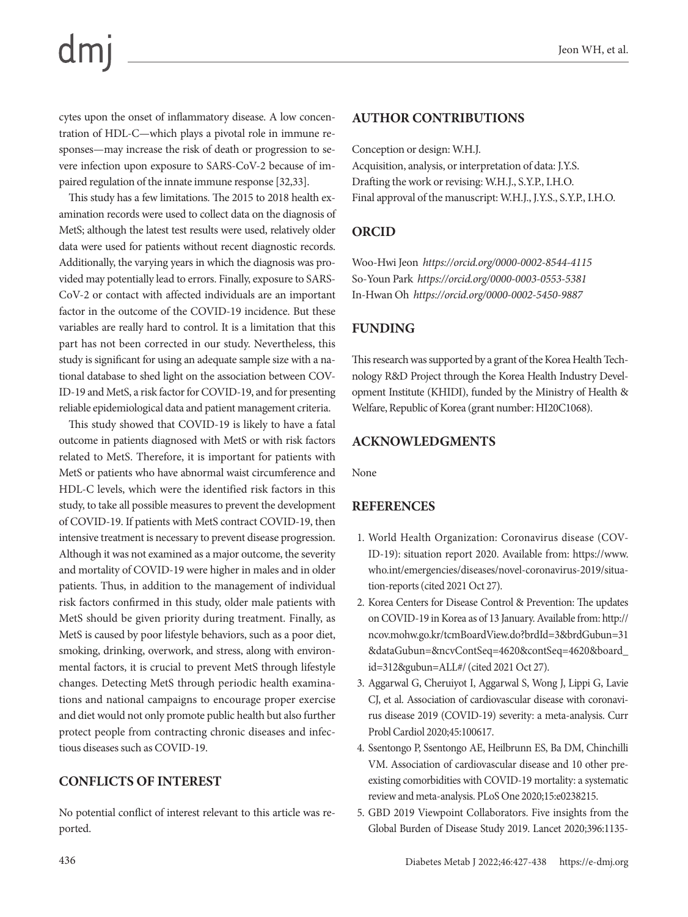#### Jeon WH, et al.

cytes upon the onset of inflammatory disease. A low concentration of HDL-C—which plays a pivotal role in immune responses—may increase the risk of death or progression to severe infection upon exposure to SARS-CoV-2 because of impaired regulation of the innate immune response [32,33].

This study has a few limitations. The 2015 to 2018 health examination records were used to collect data on the diagnosis of MetS; although the latest test results were used, relatively older data were used for patients without recent diagnostic records. Additionally, the varying years in which the diagnosis was provided may potentially lead to errors. Finally, exposure to SARS-CoV-2 or contact with affected individuals are an important factor in the outcome of the COVID-19 incidence. But these variables are really hard to control. It is a limitation that this part has not been corrected in our study. Nevertheless, this study is significant for using an adequate sample size with a national database to shed light on the association between COV-ID-19 and MetS, a risk factor for COVID-19, and for presenting reliable epidemiological data and patient management criteria.

This study showed that COVID-19 is likely to have a fatal outcome in patients diagnosed with MetS or with risk factors related to MetS. Therefore, it is important for patients with MetS or patients who have abnormal waist circumference and HDL-C levels, which were the identified risk factors in this study, to take all possible measures to prevent the development of COVID-19. If patients with MetS contract COVID-19, then intensive treatment is necessary to prevent disease progression. Although it was not examined as a major outcome, the severity and mortality of COVID-19 were higher in males and in older patients. Thus, in addition to the management of individual risk factors confirmed in this study, older male patients with MetS should be given priority during treatment. Finally, as MetS is caused by poor lifestyle behaviors, such as a poor diet, smoking, drinking, overwork, and stress, along with environmental factors, it is crucial to prevent MetS through lifestyle changes. Detecting MetS through periodic health examinations and national campaigns to encourage proper exercise and diet would not only promote public health but also further protect people from contracting chronic diseases and infectious diseases such as COVID-19.

### **CONFLICTS OF INTEREST**

No potential conflict of interest relevant to this article was reported.

#### **AUTHOR CONTRIBUTIONS**

Conception or design: W.H.J.

Acquisition, analysis, or interpretation of data: J.Y.S. Drafting the work or revising: W.H.J., S.Y.P., I.H.O. Final approval of the manuscript: W.H.J., J.Y.S., S.Y.P., I.H.O.

### **ORCID**

Woo-Hwi Jeon *https://orcid.org/0000-0002-8544-4115* So-Youn Park *https://orcid.org/0000-0003-0553-5381* In-Hwan Oh *https://orcid.org/0000-0002-5450-9887*

#### **FUNDING**

This research was supported by a grant of the Korea Health Technology R&D Project through the Korea Health Industry Development Institute (KHIDI), funded by the Ministry of Health & Welfare, Republic of Korea (grant number: HI20C1068).

### **ACKNOWLEDGMENTS**

None

### **REFERENCES**

- 1. World Health Organization: Coronavirus disease (COV-ID-19): situation report 2020. Available from: https://www. who.int/emergencies/diseases/novel-coronavirus-2019/situation-reports (cited 2021 Oct 27).
- 2. Korea Centers for Disease Control & Prevention: The updates on COVID-19 in Korea as of 13 January. Available from: http:// ncov.mohw.go.kr/tcmBoardView.do?brdId=3&brdGubun=31 &dataGubun=&ncvContSeq=4620&contSeq=4620&board\_ id=312&gubun=ALL#/ (cited 2021 Oct 27).
- 3. Aggarwal G, Cheruiyot I, Aggarwal S, Wong J, Lippi G, Lavie CJ, et al. Association of cardiovascular disease with coronavirus disease 2019 (COVID-19) severity: a meta-analysis. Curr Probl Cardiol 2020;45:100617.
- 4. Ssentongo P, Ssentongo AE, Heilbrunn ES, Ba DM, Chinchilli VM. Association of cardiovascular disease and 10 other preexisting comorbidities with COVID-19 mortality: a systematic review and meta-analysis. PLoS One 2020;15:e0238215.
- 5. GBD 2019 Viewpoint Collaborators. Five insights from the Global Burden of Disease Study 2019. Lancet 2020;396:1135-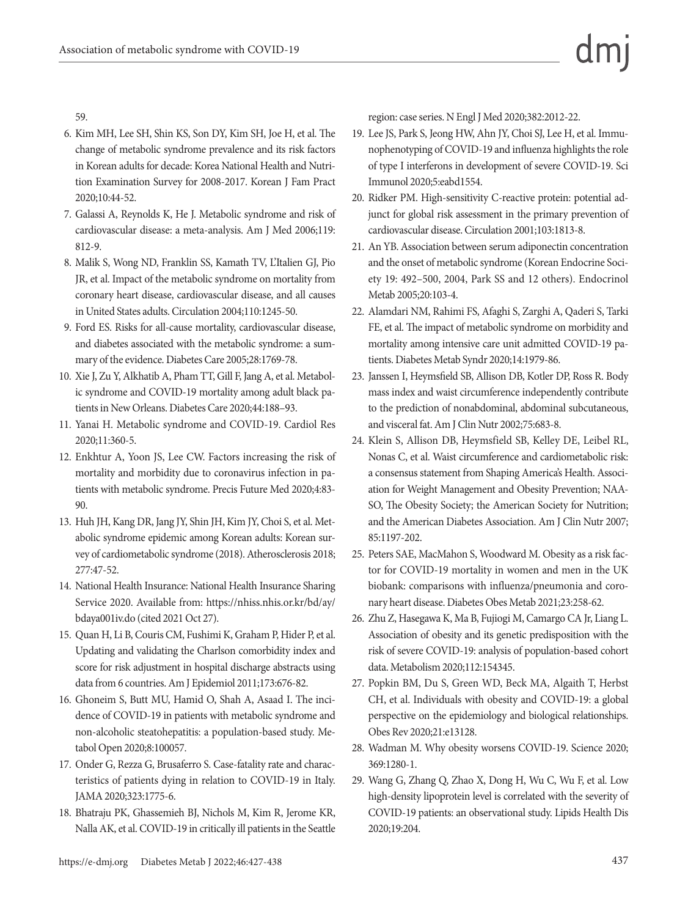59.

- 6. Kim MH, Lee SH, Shin KS, Son DY, Kim SH, Joe H, et al. The change of metabolic syndrome prevalence and its risk factors in Korean adults for decade: Korea National Health and Nutrition Examination Survey for 2008-2017. Korean J Fam Pract 2020;10:44-52.
- 7. Galassi A, Reynolds K, He J. Metabolic syndrome and risk of cardiovascular disease: a meta-analysis. Am J Med 2006;119: 812-9.
- 8. Malik S, Wong ND, Franklin SS, Kamath TV, L'Italien GJ, Pio JR, et al. Impact of the metabolic syndrome on mortality from coronary heart disease, cardiovascular disease, and all causes in United States adults. Circulation 2004;110:1245-50.
- 9. Ford ES. Risks for all-cause mortality, cardiovascular disease, and diabetes associated with the metabolic syndrome: a summary of the evidence. Diabetes Care 2005;28:1769-78.
- 10. Xie J, Zu Y, Alkhatib A, Pham TT, Gill F, Jang A, et al. Metabolic syndrome and COVID-19 mortality among adult black patients in New Orleans. Diabetes Care 2020;44:188–93.
- 11. Yanai H. Metabolic syndrome and COVID-19. Cardiol Res 2020;11:360-5.
- 12. Enkhtur A, Yoon JS, Lee CW. Factors increasing the risk of mortality and morbidity due to coronavirus infection in patients with metabolic syndrome. Precis Future Med 2020;4:83- 90.
- 13. Huh JH, Kang DR, Jang JY, Shin JH, Kim JY, Choi S, et al. Metabolic syndrome epidemic among Korean adults: Korean survey of cardiometabolic syndrome (2018). Atherosclerosis 2018; 277:47-52.
- 14. National Health Insurance: National Health Insurance Sharing Service 2020. Available from: https://nhiss.nhis.or.kr/bd/ay/ bdaya001iv.do (cited 2021 Oct 27).
- 15. Quan H, Li B, Couris CM, Fushimi K, Graham P, Hider P, et al. Updating and validating the Charlson comorbidity index and score for risk adjustment in hospital discharge abstracts using data from 6 countries. Am J Epidemiol 2011;173:676-82.
- 16. Ghoneim S, Butt MU, Hamid O, Shah A, Asaad I. The incidence of COVID-19 in patients with metabolic syndrome and non-alcoholic steatohepatitis: a population-based study. Metabol Open 2020;8:100057.
- 17. Onder G, Rezza G, Brusaferro S. Case-fatality rate and characteristics of patients dying in relation to COVID-19 in Italy. JAMA 2020;323:1775-6.
- 18. Bhatraju PK, Ghassemieh BJ, Nichols M, Kim R, Jerome KR, Nalla AK, et al. COVID-19 in critically ill patients in the Seattle

region: case series. N Engl J Med 2020;382:2012-22.

- 19. Lee JS, Park S, Jeong HW, Ahn JY, Choi SJ, Lee H, et al. Immunophenotyping of COVID-19 and influenza highlights the role of type I interferons in development of severe COVID-19. Sci Immunol 2020;5:eabd1554.
- 20. Ridker PM. High-sensitivity C-reactive protein: potential adjunct for global risk assessment in the primary prevention of cardiovascular disease. Circulation 2001;103:1813-8.
- 21. An YB. Association between serum adiponectin concentration and the onset of metabolic syndrome (Korean Endocrine Society 19: 492–500, 2004, Park SS and 12 others). Endocrinol Metab 2005;20:103-4.
- 22. Alamdari NM, Rahimi FS, Afaghi S, Zarghi A, Qaderi S, Tarki FE, et al. The impact of metabolic syndrome on morbidity and mortality among intensive care unit admitted COVID-19 patients. Diabetes Metab Syndr 2020;14:1979-86.
- 23. Janssen I, Heymsfield SB, Allison DB, Kotler DP, Ross R. Body mass index and waist circumference independently contribute to the prediction of nonabdominal, abdominal subcutaneous, and visceral fat. Am J Clin Nutr 2002;75:683-8.
- 24. Klein S, Allison DB, Heymsfield SB, Kelley DE, Leibel RL, Nonas C, et al. Waist circumference and cardiometabolic risk: a consensus statement from Shaping America's Health. Association for Weight Management and Obesity Prevention; NAA-SO, The Obesity Society; the American Society for Nutrition; and the American Diabetes Association. Am J Clin Nutr 2007; 85:1197-202.
- 25. Peters SAE, MacMahon S, Woodward M. Obesity as a risk factor for COVID-19 mortality in women and men in the UK biobank: comparisons with influenza/pneumonia and coronary heart disease. Diabetes Obes Metab 2021;23:258-62.
- 26. Zhu Z, Hasegawa K, Ma B, Fujiogi M, Camargo CA Jr, Liang L. Association of obesity and its genetic predisposition with the risk of severe COVID-19: analysis of population-based cohort data. Metabolism 2020;112:154345.
- 27. Popkin BM, Du S, Green WD, Beck MA, Algaith T, Herbst CH, et al. Individuals with obesity and COVID-19: a global perspective on the epidemiology and biological relationships. Obes Rev 2020;21:e13128.
- 28. Wadman M. Why obesity worsens COVID-19. Science 2020; 369:1280-1.
- 29. Wang G, Zhang Q, Zhao X, Dong H, Wu C, Wu F, et al. Low high-density lipoprotein level is correlated with the severity of COVID-19 patients: an observational study. Lipids Health Dis 2020;19:204.